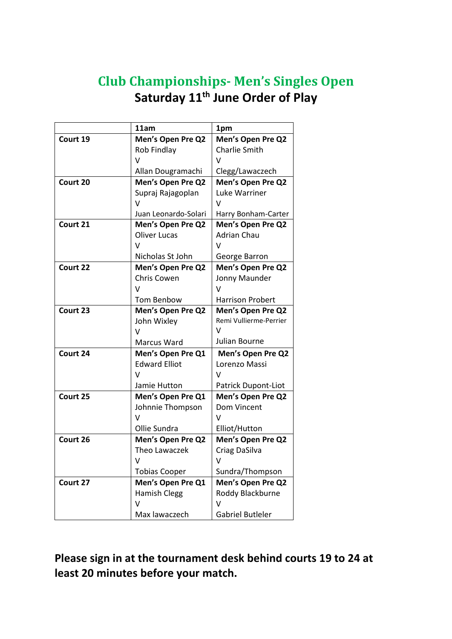## **Club Championships- Men's Singles Open Saturday 11th June Order of Play**

|          | 11am                 | 1pm                     |
|----------|----------------------|-------------------------|
| Court 19 | Men's Open Pre Q2    | Men's Open Pre Q2       |
|          | Rob Findlay          | Charlie Smith           |
|          | V                    | V                       |
|          | Allan Dougramachi    | Clegg/Lawaczech         |
| Court 20 | Men's Open Pre Q2    | Men's Open Pre Q2       |
|          | Supraj Rajagoplan    | Luke Warriner           |
|          | v                    | ν                       |
|          | Juan Leonardo-Solari | Harry Bonham-Carter     |
| Court 21 | Men's Open Pre Q2    | Men's Open Pre Q2       |
|          | <b>Oliver Lucas</b>  | <b>Adrian Chau</b>      |
|          | v                    | v                       |
|          | Nicholas St John     | George Barron           |
| Court 22 | Men's Open Pre Q2    | Men's Open Pre Q2       |
|          | Chris Cowen          | Jonny Maunder           |
|          | V                    | ν                       |
|          | <b>Tom Benbow</b>    | <b>Harrison Probert</b> |
| Court 23 | Men's Open Pre Q2    | Men's Open Pre Q2       |
|          | John Wixley          | Remi Vullierme-Perrier  |
|          | v                    | $\vee$                  |
|          | Marcus Ward          | Julian Bourne           |
| Court 24 | Men's Open Pre Q1    | Men's Open Pre Q2       |
|          | <b>Edward Elliot</b> | Lorenzo Massi           |
|          | $\vee$               | v                       |
|          | Jamie Hutton         | Patrick Dupont-Liot     |
| Court 25 | Men's Open Pre Q1    | Men's Open Pre Q2       |
|          | Johnnie Thompson     | Dom Vincent             |
|          | V                    | V                       |
|          | Ollie Sundra         | Elliot/Hutton           |
| Court 26 | Men's Open Pre Q2    | Men's Open Pre Q2       |
|          | Theo Lawaczek        | Criag DaSilva           |
|          | v                    | v                       |
|          | <b>Tobias Cooper</b> | Sundra/Thompson         |
| Court 27 | Men's Open Pre Q1    | Men's Open Pre Q2       |
|          | <b>Hamish Clegg</b>  | Roddy Blackburne        |
|          | v                    | v                       |
|          | Max lawaczech        | <b>Gabriel Butleler</b> |

**Please sign in at the tournament desk behind courts 19 to 24 at least 20 minutes before your match.**